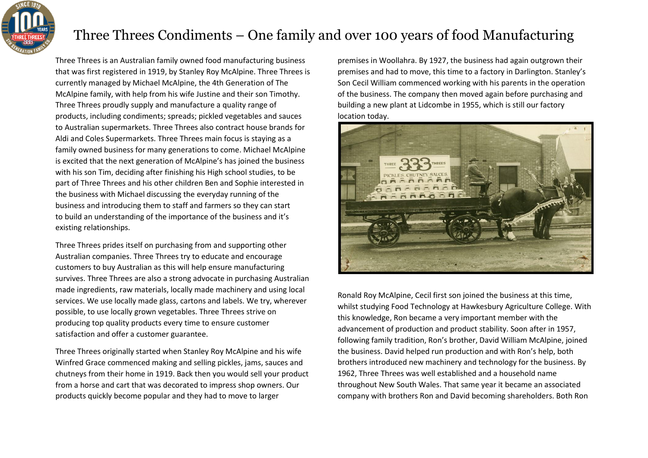

## Three Threes Condiments – One family and over 100 years of food Manufacturing

Three Threes is an Australian family owned food manufacturing business that was first registered in 1919, by Stanley Roy McAlpine. Three Threes is currently managed by Michael McAlpine, the 4th Generation of The McAlpine family, with help from his wife Justine and their son Timothy. Three Threes proudly supply and manufacture a quality range of products, including condiments; spreads; pickled vegetables and sauces to Australian supermarkets. Three Threes also contract house brands for Aldi and Coles Supermarkets. Three Threes main focus is staying as a family owned business for many generations to come. Michael McAlpine is excited that the next generation of McAlpine's has joined the business with his son Tim, deciding after finishing his High school studies, to be part of Three Threes and his other children Ben and Sophie interested in the business with Michael discussing the everyday running of the business and introducing them to staff and farmers so they can start to build an understanding of the importance of the business and it's existing relationships.

Three Threes prides itself on purchasing from and supporting other Australian companies. Three Threes try to educate and encourage customers to buy Australian as this will help ensure manufacturing survives. Three Threes are also a strong advocate in purchasing Australian made ingredients, raw materials, locally made machinery and using local services. We use locally made glass, cartons and labels. We try, wherever possible, to use locally grown vegetables. Three Threes strive on producing top quality products every time to ensure customer satisfaction and offer a customer guarantee.

Three Threes originally started when Stanley Roy McAlpine and his wife Winfred Grace commenced making and selling pickles, jams, sauces and chutneys from their home in 1919. Back then you would sell your product from a horse and cart that was decorated to impress shop owners. Our products quickly become popular and they had to move to larger

premises in Woollahra. By 1927, the business had again outgrown their premises and had to move, this time to a factory in Darlington. Stanley's Son Cecil William commenced working with his parents in the operation of the business. The company then moved again before purchasing and building a new plant at Lidcombe in 1955, which is still our factory location today.



Ronald Roy McAlpine, Cecil first son joined the business at this time, whilst studying Food Technology at Hawkesbury Agriculture College. With this knowledge, Ron became a very important member with the advancement of production and product stability. Soon after in 1957, following family tradition, Ron's brother, David William McAlpine, joined the business. David helped run production and with Ron's help, both brothers introduced new machinery and technology for the business. By 1962, Three Threes was well established and a household name throughout New South Wales. That same year it became an associated company with brothers Ron and David becoming shareholders. Both Ron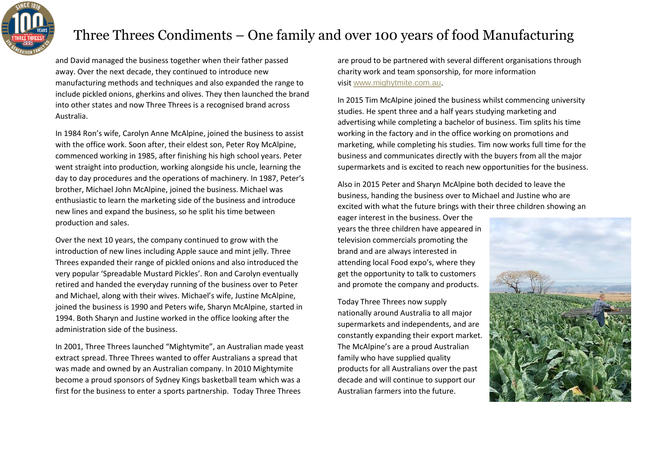

## Three Threes Condiments – One family and over 100 years of food Manufacturing

and David managed the business together when their father passed away. Over the next decade, they continued to introduce new manufacturing methods and techniques and also expanded the range to include pickled onions, gherkins and olives. They then launched the brand into other states and now Three Threes is a recognised brand across Australia.

In 1984 Ron's wife, Carolyn Anne McAlpine, joined the business to assist with the office work. Soon after, their eldest son, Peter Roy McAlpine, commenced working in 1985, after finishing his high school years. Peter went straight into production, working alongside his uncle, learning the day to day procedures and the operations of machinery. In 1987, Peter's brother, Michael John McAlpine, joined the business. Michael was enthusiastic to learn the marketing side of the business and introduce new lines and expand the business, so he split his time between production and sales.

Over the next 10 years, the company continued to grow with the introduction of new lines including Apple sauce and mint jelly. Three Threes expanded their range of pickled onions and also introduced the very popular 'Spreadable Mustard Pickles'. Ron and Carolyn eventually retired and handed the everyday running of the business over to Peter and Michael, along with their wives. Michael's wife, Justine McAlpine, joined the business is 1990 and Peters wife, Sharyn McAlpine, started in 1994. Both Sharyn and Justine worked in the office looking after the administration side of the business.

In 2001, Three Threes launched "Mightymite", an Australian made yeast extract spread. Three Threes wanted to offer Australians a spread that was made and owned by an Australian company. In 2010 Mightymite become a proud sponsors of Sydney Kings basketball team which was a first for the business to enter a sports partnership. Today Three Threes

are proud to be partnered with several different organisations through charity work and team sponsorship, for more information visit [www.mighytmite.com.au](http://www.mighytmite.com.au/).

In 2015 Tim McAlpine joined the business whilst commencing university studies. He spent three and a half years studying marketing and advertising while completing a bachelor of business. Tim splits his time working in the factory and in the office working on promotions and marketing, while completing his studies. Tim now works full time for the business and communicates directly with the buyers from all the major supermarkets and is excited to reach new opportunities for the business.

Also in 2015 Peter and Sharyn McAlpine both decided to leave the business, handing the business over to Michael and Justine who are excited with what the future brings with their three children showing an

eager interest in the business. Over the years the three children have appeared in television commercials promoting the brand and are always interested in attending local Food expo's, where they get the opportunity to talk to customers and promote the company and products.

Today Three Threes now supply nationally around Australia to all major supermarkets and independents, and are constantly expanding their export market. The McAlpine's are a proud Australian family who have supplied quality products for all Australians over the past decade and will continue to support our Australian farmers into the future.